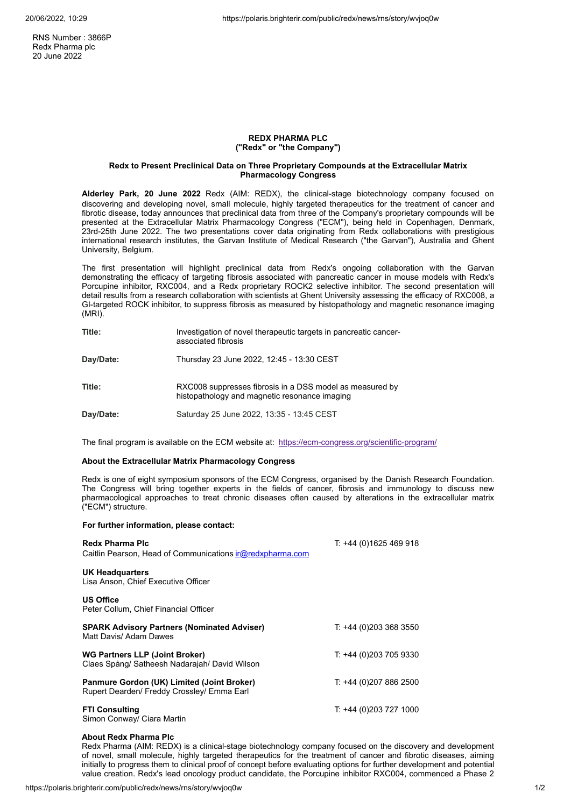RNS Number : 3866P Redx Pharma plc 20 June 2022

## **REDX PHARMA PLC ("Redx" or "the Company")**

## **Redx to Present Preclinical Data on Three Proprietary Compounds at the Extracellular Matrix Pharmacology Congress**

**Alderley Park, 20 June 2022** Redx (AIM: REDX), the clinical-stage biotechnology company focused on discovering and developing novel, small molecule, highly targeted therapeutics for the treatment of cancer and fibrotic disease, today announces that preclinical data from three of the Company's proprietary compounds will be presented at the Extracellular Matrix Pharmacology Congress ("ECM"), being held in Copenhagen, Denmark, 23rd-25th June 2022. The two presentations cover data originating from Redx collaborations with prestigious international research institutes, the Garvan Institute of Medical Research ("the Garvan"), Australia and Ghent University, Belgium.

The first presentation will highlight preclinical data from Redx's ongoing collaboration with the Garvan demonstrating the efficacy of targeting fibrosis associated with pancreatic cancer in mouse models with Redx's Porcupine inhibitor, RXC004, and a Redx proprietary ROCK2 selective inhibitor. The second presentation will detail results from a research collaboration with scientists at Ghent University assessing the efficacy of RXC008, a GI-targeted ROCK inhibitor, to suppress fibrosis as measured by histopathology and magnetic resonance imaging (MRI).

| Title:    | Investigation of novel therapeutic targets in pancreatic cancer-<br>associated fibrosis                   |
|-----------|-----------------------------------------------------------------------------------------------------------|
| Day/Date: | Thursday 23 June 2022, 12:45 - 13:30 CEST                                                                 |
| Title:    | RXC008 suppresses fibrosis in a DSS model as measured by<br>histopathology and magnetic resonance imaging |
| Day/Date: | Saturday 25 June 2022, 13:35 - 13:45 CEST                                                                 |

The final program is available on the ECM website at: <https://ecm-congress.org/scientific-program/>

# **About the Extracellular Matrix Pharmacology Congress**

Redx is one of eight symposium sponsors of the ECM Congress, organised by the Danish Research Foundation. The Congress will bring together experts in the fields of cancer, fibrosis and immunology to discuss new pharmacological approaches to treat chronic diseases often caused by alterations in the extracellular matrix ("ECM") structure.

## **For further information, please contact:**

| <b>Redx Pharma Plc</b><br>Caitlin Pearson, Head of Communications ir@redxpharma.com      | $T: +44(0)1625469918$  |
|------------------------------------------------------------------------------------------|------------------------|
| <b>UK Headquarters</b><br>Lisa Anson, Chief Executive Officer                            |                        |
| <b>US Office</b><br>Peter Collum, Chief Financial Officer                                |                        |
| <b>SPARK Advisory Partners (Nominated Adviser)</b><br>Matt Davis/ Adam Dawes             | $T: +44(0)2033683550$  |
| <b>WG Partners LLP (Joint Broker)</b><br>Claes Spång/ Satheesh Nadarajah/ David Wilson   | T: +44 (0)203 705 9330 |
| Panmure Gordon (UK) Limited (Joint Broker)<br>Rupert Dearden/ Freddy Crossley/ Emma Earl | T: +44 (0)207 886 2500 |
| <b>FTI Consulting</b><br>Simon Conway/ Ciara Martin                                      | T: +44 (0)203 727 1000 |

**About Redx Pharma Plc**

Redx Pharma (AIM: REDX) is a clinical-stage biotechnology company focused on the discovery and development of novel, small molecule, highly targeted therapeutics for the treatment of cancer and fibrotic diseases, aiming initially to progress them to clinical proof of concept before evaluating options for further development and potential value creation. Redx's lead oncology product candidate, the Porcupine inhibitor RXC004, commenced a Phase 2